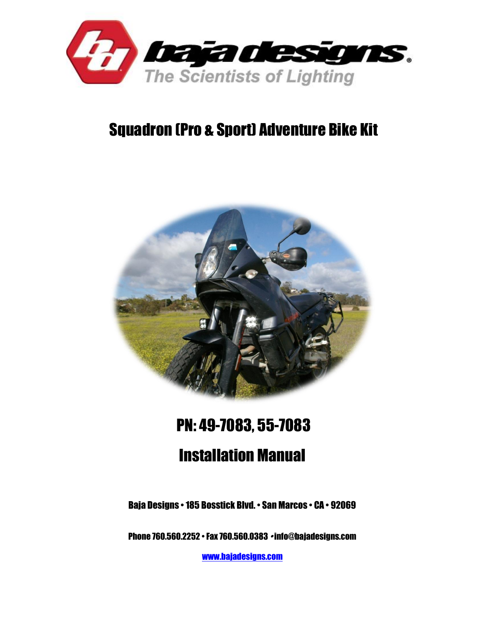

## Squadron (Pro & Sport) Adventure Bike Kit



# PN: 49-7083, 55-7083 Installation Manual

Baja Designs • 185 Bosstick Blvd. • San Marcos • CA • 92069

Phone 760.560.2252 • Fax 760.560.0383 • info@bajadesigns.com

[www.bajadesigns.com](http://www.bajadesigns.com/)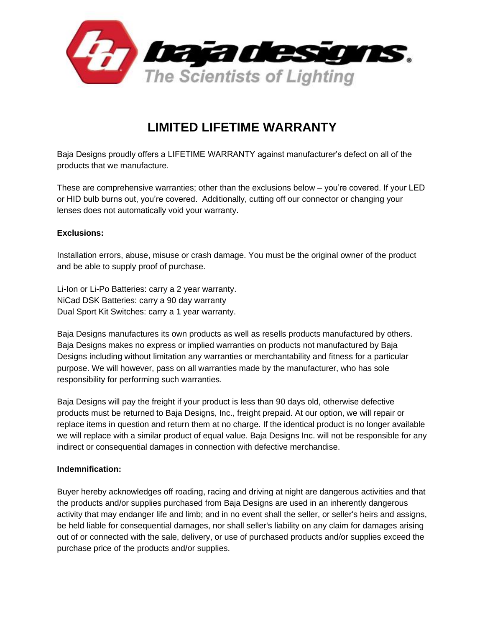

### **LIMITED LIFETIME WARRANTY**

Baja Designs proudly offers a LIFETIME WARRANTY against manufacturer's defect on all of the products that we manufacture.

These are comprehensive warranties; other than the exclusions below – you're covered. If your LED or HID bulb burns out, you're covered. Additionally, cutting off our connector or changing your lenses does not automatically void your warranty.

#### **Exclusions:**

Installation errors, abuse, misuse or crash damage. You must be the original owner of the product and be able to supply proof of purchase.

Li-Ion or Li-Po Batteries: carry a 2 year warranty. NiCad DSK Batteries: carry a 90 day warranty Dual Sport Kit Switches: carry a 1 year warranty.

Baja Designs manufactures its own products as well as resells products manufactured by others. Baja Designs makes no express or implied warranties on products not manufactured by Baja Designs including without limitation any warranties or merchantability and fitness for a particular purpose. We will however, pass on all warranties made by the manufacturer, who has sole responsibility for performing such warranties.

Baja Designs will pay the freight if your product is less than 90 days old, otherwise defective products must be returned to Baja Designs, Inc., freight prepaid. At our option, we will repair or replace items in question and return them at no charge. If the identical product is no longer available we will replace with a similar product of equal value. Baja Designs Inc. will not be responsible for any indirect or consequential damages in connection with defective merchandise.

#### **Indemnification:**

Buyer hereby acknowledges off roading, racing and driving at night are dangerous activities and that the products and/or supplies purchased from Baja Designs are used in an inherently dangerous activity that may endanger life and limb; and in no event shall the seller, or seller's heirs and assigns, be held liable for consequential damages, nor shall seller's liability on any claim for damages arising out of or connected with the sale, delivery, or use of purchased products and/or supplies exceed the purchase price of the products and/or supplies.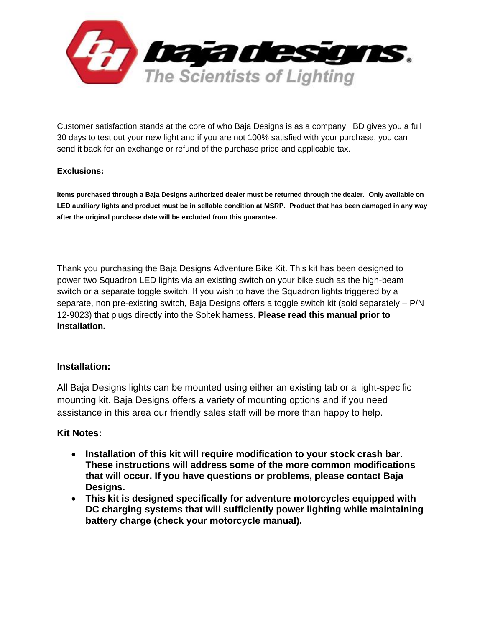

Customer satisfaction stands at the core of who Baja Designs is as a company. BD gives you a full 30 days to test out your new light and if you are not 100% satisfied with your purchase, you can send it back for an exchange or refund of the purchase price and applicable tax.

#### **Exclusions:**

**Items purchased through a Baja Designs authorized dealer must be returned through the dealer. Only available on LED auxiliary lights and product must be in sellable condition at MSRP. Product that has been damaged in any way after the original purchase date will be excluded from this guarantee.**

Thank you purchasing the Baja Designs Adventure Bike Kit. This kit has been designed to power two Squadron LED lights via an existing switch on your bike such as the high-beam switch or a separate toggle switch. If you wish to have the Squadron lights triggered by a separate, non pre-existing switch, Baja Designs offers a toggle switch kit (sold separately – P/N 12-9023) that plugs directly into the Soltek harness. **Please read this manual prior to installation.**

#### **Installation:**

All Baja Designs lights can be mounted using either an existing tab or a light-specific mounting kit. Baja Designs offers a variety of mounting options and if you need assistance in this area our friendly sales staff will be more than happy to help.

#### **Kit Notes:**

- **Installation of this kit will require modification to your stock crash bar. These instructions will address some of the more common modifications that will occur. If you have questions or problems, please contact Baja Designs.**
- **This kit is designed specifically for adventure motorcycles equipped with DC charging systems that will sufficiently power lighting while maintaining battery charge (check your motorcycle manual).**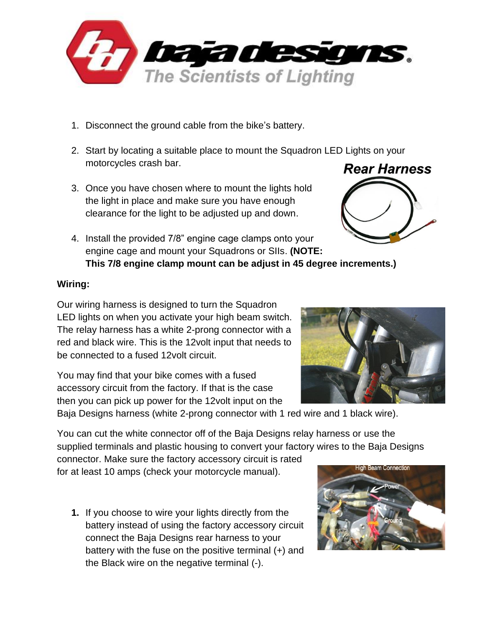

- 1. Disconnect the ground cable from the bike's battery.
- 2. Start by locating a suitable place to mount the Squadron LED Lights on your motorcycles crash bar.
- 3. Once you have chosen where to mount the lights hold the light in place and make sure you have enough clearance for the light to be adjusted up and down.
- 4. Install the provided 7/8" engine cage clamps onto your engine cage and mount your Squadrons or SIIs. **(NOTE: This 7/8 engine clamp mount can be adjust in 45 degree increments.)**

#### **Wiring:**

Our wiring harness is designed to turn the Squadron LED lights on when you activate your high beam switch. The relay harness has a white 2-prong connector with a red and black wire. This is the 12volt input that needs to be connected to a fused 12volt circuit.

You may find that your bike comes with a fused accessory circuit from the factory. If that is the case then you can pick up power for the 12volt input on the

Baja Designs harness (white 2-prong connector with 1 red wire and 1 black wire).

You can cut the white connector off of the Baja Designs relay harness or use the supplied terminals and plastic housing to convert your factory wires to the Baja Designs

connector. Make sure the factory accessory circuit is rated for at least 10 amps (check your motorcycle manual).

**1.** If you choose to wire your lights directly from the battery instead of using the factory accessory circuit connect the Baja Designs rear harness to your battery with the fuse on the positive terminal (+) and the Black wire on the negative terminal (-).